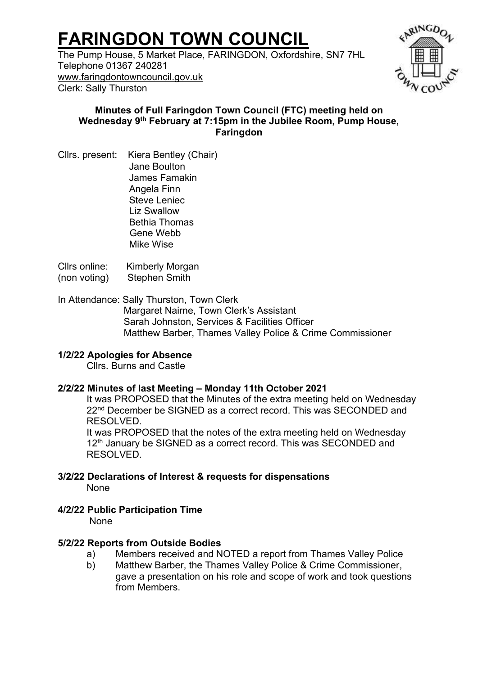# **FARINGDON TOWN COUNCIL**

The Pump House, 5 Market Place, FARINGDON, Oxfordshire, SN7 7HL Telephone 01367 240281 [www.faringdontowncouncil.gov.uk](http://www.faringdontowncouncil.gov.uk/) Clerk: Sally Thurston



## **Minutes of Full Faringdon Town Council (FTC) meeting held on Wednesday 9 th February at 7:15pm in the Jubilee Room, Pump House, Faringdon**

Cllrs. present: Kiera Bentley (Chair) Jane Boulton James Famakin Angela Finn Steve Leniec Liz Swallow Bethia Thomas Gene Webb Mike Wise

Cllrs online: Kimberly Morgan (non voting) Stephen Smith

In Attendance: Sally Thurston, Town Clerk Margaret Nairne, Town Clerk's Assistant Sarah Johnston, Services & Facilities Officer Matthew Barber, Thames Valley Police & Crime Commissioner

# **1/2/22 Apologies for Absence**

Cllrs. Burns and Castle

## **2/2/22 Minutes of last Meeting – Monday 11th October 2021**

It was PROPOSED that the Minutes of the extra meeting held on Wednesday 22<sup>nd</sup> December be SIGNED as a correct record. This was SECONDED and RESOLVED.

It was PROPOSED that the notes of the extra meeting held on Wednesday 12<sup>th</sup> January be SIGNED as a correct record. This was SECONDED and RESOLVED.

**3/2/22 Declarations of Interest & requests for dispensations**  None

# **4/2/22 Public Participation Time**

None

## **5/2/22 Reports from Outside Bodies**

- a) Members received and NOTED a report from Thames Valley Police
- b) Matthew Barber, the Thames Valley Police & Crime Commissioner, gave a presentation on his role and scope of work and took questions from Members.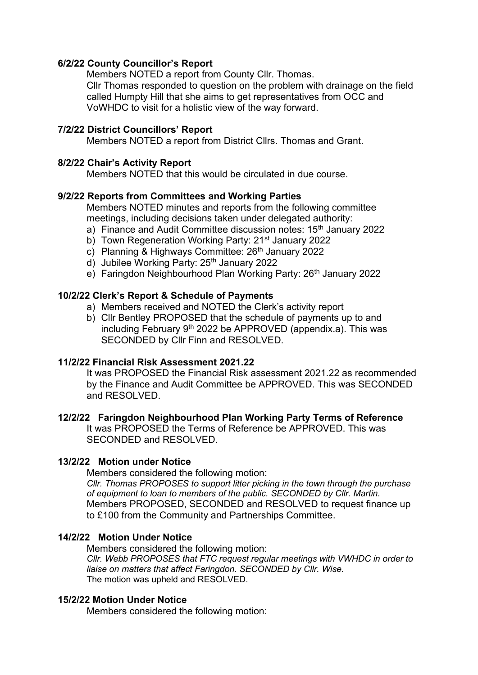## **6/2/22 County Councillor's Report**

Members NOTED a report from County Cllr. Thomas. Cllr Thomas responded to question on the problem with drainage on the field called Humpty Hill that she aims to get representatives from OCC and VoWHDC to visit for a holistic view of the way forward.

## **7/2/22 District Councillors' Report**

Members NOTED a report from District Cllrs. Thomas and Grant.

## **8/2/22 Chair's Activity Report**

Members NOTED that this would be circulated in due course.

## **9/2/22 Reports from Committees and Working Parties**

Members NOTED minutes and reports from the following committee meetings, including decisions taken under delegated authority:

- a) Finance and Audit Committee discussion notes: 15<sup>th</sup> January 2022
- b) Town Regeneration Working Party: 21<sup>st</sup> January 2022
- c) Planning & Highways Committee: 26<sup>th</sup> January 2022
- d) Jubilee Working Party: 25th January 2022
- e) Faringdon Neighbourhood Plan Working Party: 26<sup>th</sup> January 2022

## **10/2/22 Clerk's Report & Schedule of Payments**

- a) Members received and NOTED the Clerk's activity report
- b) Cllr Bentley PROPOSED that the schedule of payments up to and including February  $9<sup>th</sup>$  2022 be APPROVED (appendix.a). This was SECONDED by Cllr Finn and RESOLVED.

## **11/2/22 Financial Risk Assessment 2021.22**

It was PROPOSED the Financial Risk assessment 2021.22 as recommended by the Finance and Audit Committee be APPROVED. This was SECONDED and RESOLVED.

## **12/2/22****Faringdon Neighbourhood Plan Working Party Terms of Reference**

It was PROPOSED the Terms of Reference be APPROVED. This was SECONDED and RESOLVED.

## **13/2/22****Motion under Notice**

Members considered the following motion:

*Cllr. Thomas PROPOSES to support litter picking in the town through the purchase of equipment to loan to members of the public. SECONDED by Cllr. Martin.* Members PROPOSED, SECONDED and RESOLVED to request finance up to £100 from the Community and Partnerships Committee.

## **14/2/22****Motion Under Notice**

Members considered the following motion: *Cllr. Webb PROPOSES that FTC request regular meetings with VWHDC in order to liaise on matters that affect Faringdon. SECONDED by Cllr. Wise.* The motion was upheld and RESOLVED.

## **15/2/22 Motion Under Notice**

Members considered the following motion: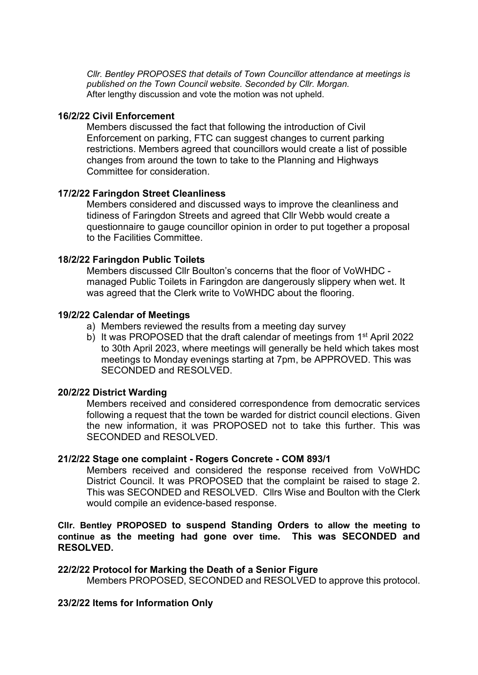*Cllr. Bentley PROPOSES that details of Town Councillor attendance at meetings is published on the Town Council website. Seconded by Cllr. Morgan.* After lengthy discussion and vote the motion was not upheld.

#### **16/2/22 Civil Enforcement**

Members discussed the fact that following the introduction of Civil Enforcement on parking, FTC can suggest changes to current parking restrictions. Members agreed that councillors would create a list of possible changes from around the town to take to the Planning and Highways Committee for consideration.

#### **17/2/22 Faringdon Street Cleanliness**

Members considered and discussed ways to improve the cleanliness and tidiness of Faringdon Streets and agreed that Cllr Webb would create a questionnaire to gauge councillor opinion in order to put together a proposal to the Facilities Committee.

## **18/2/22 Faringdon Public Toilets**

Members discussed Cllr Boulton's concerns that the floor of VoWHDC managed Public Toilets in Faringdon are dangerously slippery when wet. It was agreed that the Clerk write to VoWHDC about the flooring.

#### **19/2/22 Calendar of Meetings**

- a) Members reviewed the results from a meeting day survey
- b) It was PROPOSED that the draft calendar of meetings from 1<sup>st</sup> April 2022 to 30th April 2023, where meetings will generally be held which takes most meetings to Monday evenings starting at 7pm, be APPROVED. This was SECONDED and RESOLVED.

#### **20/2/22 District Warding**

Members received and considered correspondence from democratic services following a request that the town be warded for district council elections. Given the new information, it was PROPOSED not to take this further. This was SECONDED and RESOLVED.

#### **21/2/22 Stage one complaint - Rogers Concrete - COM 893/1**

Members received and considered the response received from VoWHDC District Council. It was PROPOSED that the complaint be raised to stage 2. This was SECONDED and RESOLVED. Cllrs Wise and Boulton with the Clerk would compile an evidence-based response.

**Cllr. Bentley PROPOSED to suspend Standing Orders to allow the meeting to continue as the meeting had gone over time. This was SECONDED and RESOLVED.**

#### **22/2/22 Protocol for Marking the Death of a Senior Figure**

Members PROPOSED, SECONDED and RESOLVED to approve this protocol.

#### **23/2/22 Items for Information Only**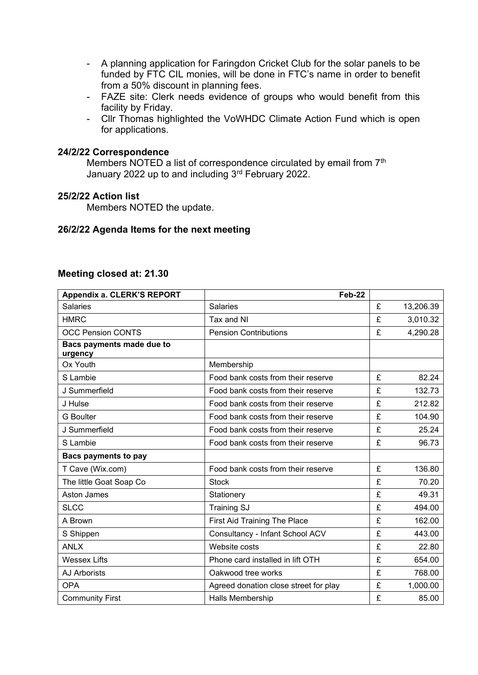- A planning application for Faringdon Cricket Club for the solar panels to be funded by FTC CIL monies, will be done in FTC's name in order to benefit from a 50% discount in planning fees.
- FAZE site: Clerk needs evidence of groups who would benefit from this facility by Friday.
- Cllr Thomas highlighted the VoWHDC Climate Action Fund which is open for applications.

#### **24/2/22 Correspondence**

Members NOTED a list of correspondence circulated by email from 7<sup>th</sup> January 2022 up to and including 3rd February 2022.

#### **25/2/22 Action list**

Members NOTED the update.

#### **26/2/22 Agenda Items for the next meeting**

#### **Meeting closed at: 21.30**

| Appendix a. CLERK'S REPORT           | Feb-22                                |   |           |
|--------------------------------------|---------------------------------------|---|-----------|
| <b>Salaries</b>                      | <b>Salaries</b>                       | £ | 13,206.39 |
| <b>HMRC</b>                          | Tax and NI                            | £ | 3,010.32  |
| <b>OCC Pension CONTS</b>             | <b>Pension Contributions</b>          | £ | 4,290.28  |
| Bacs payments made due to<br>urgency |                                       |   |           |
| Ox Youth                             | Membership                            |   |           |
| S Lambie                             | Food bank costs from their reserve    | £ | 82.24     |
| J Summerfield                        | Food bank costs from their reserve    | £ | 132.73    |
| J Hulse                              | Food bank costs from their reserve    | £ | 212.82    |
| <b>G</b> Boulter                     | Food bank costs from their reserve    | £ | 104.90    |
| J Summerfield                        | Food bank costs from their reserve    | £ | 25.24     |
| S Lambie                             | Food bank costs from their reserve    | £ | 96.73     |
| <b>Bacs payments to pay</b>          |                                       |   |           |
| T Cave (Wix.com)                     | Food bank costs from their reserve    | £ | 136.80    |
| The little Goat Soap Co              | <b>Stock</b>                          | £ | 70.20     |
| Aston James                          | Stationery                            | £ | 49.31     |
| <b>SLCC</b>                          | <b>Training SJ</b>                    | £ | 494.00    |
| A Brown                              | First Aid Training The Place          | £ | 162.00    |
| S Shippen                            | Consultancy - Infant School ACV       | £ | 443.00    |
| <b>ANLX</b>                          | Website costs                         | £ | 22.80     |
| <b>Wessex Lifts</b>                  | Phone card installed in lift OTH      | £ | 654.00    |
| <b>AJ Arborists</b>                  | Oakwood tree works                    | £ | 768.00    |
| <b>OPA</b>                           | Agreed donation close street for play | £ | 1,000.00  |
| <b>Community First</b>               | <b>Halls Membership</b>               | £ | 85.00     |